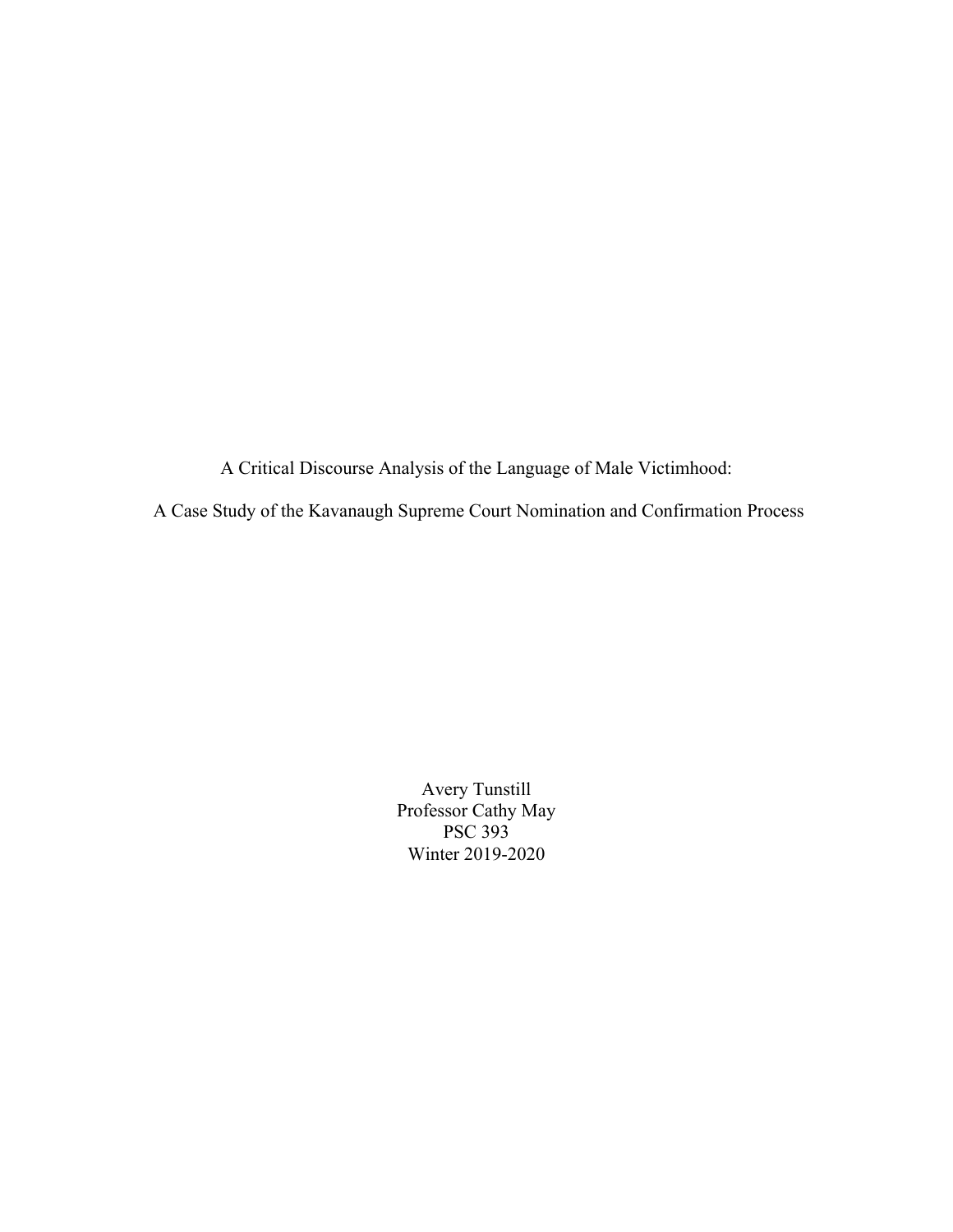A Critical Discourse Analysis of the Language of Male Victimhood:

A Case Study of the Kavanaugh Supreme Court Nomination and Confirmation Process

Avery Tunstill Professor Cathy May PSC 393 Winter 2019-2020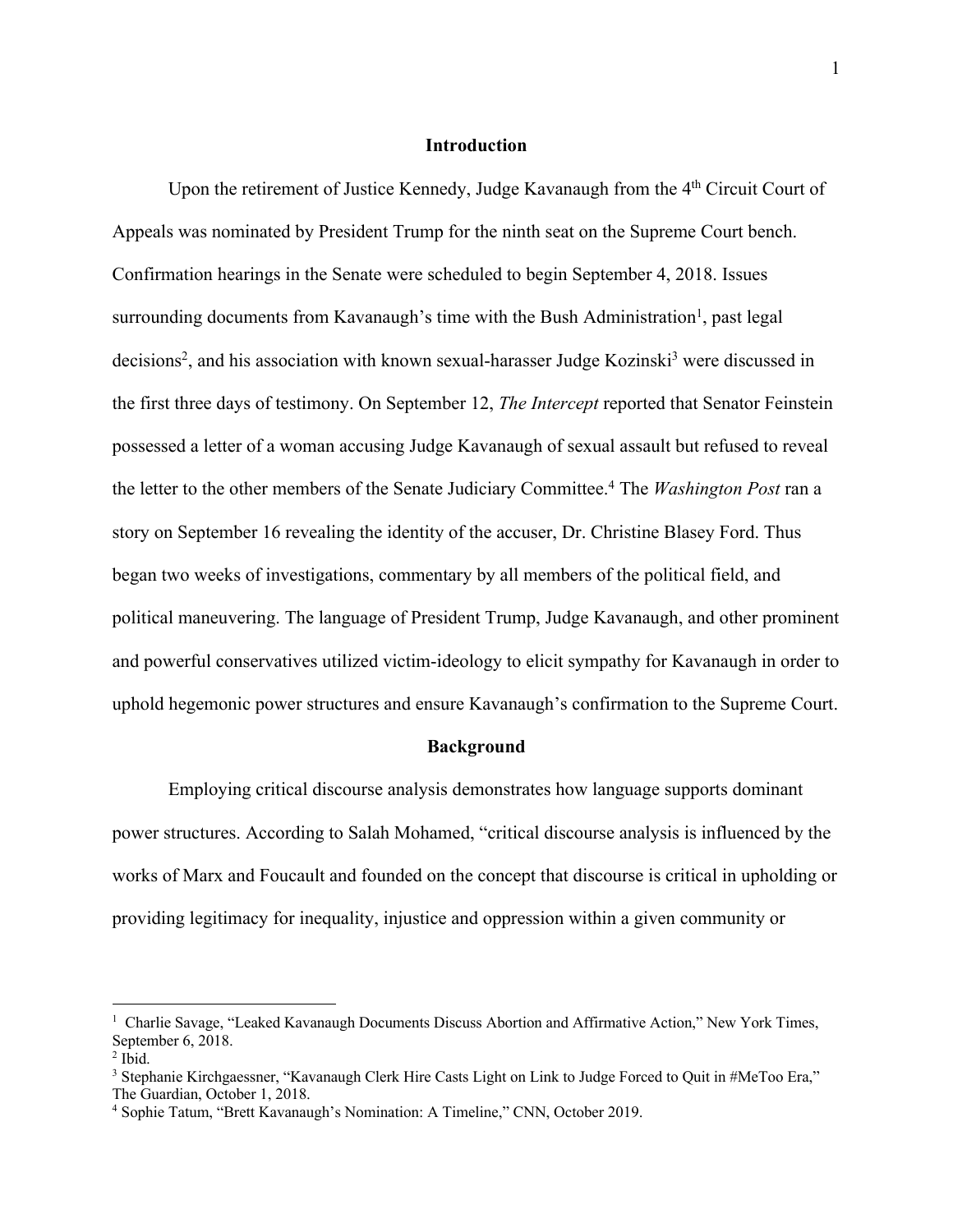# **Introduction**

Upon the retirement of Justice Kennedy, Judge Kavanaugh from the 4<sup>th</sup> Circuit Court of Appeals was nominated by President Trump for the ninth seat on the Supreme Court bench. Confirmation hearings in the Senate were scheduled to begin September 4, 2018. Issues surrounding documents from Kavanaugh's time with the Bush Administration<sup>1</sup>, past legal decisions<sup>2</sup>, and his association with known sexual-harasser Judge Kozinski<sup>3</sup> were discussed in the first three days of testimony. On September 12, *The Intercept* reported that Senator Feinstein possessed a letter of a woman accusing Judge Kavanaugh of sexual assault but refused to reveal the letter to the other members of the Senate Judiciary Committee. <sup>4</sup> The *Washington Post* ran a story on September 16 revealing the identity of the accuser, Dr. Christine Blasey Ford. Thus began two weeks of investigations, commentary by all members of the political field, and political maneuvering. The language of President Trump, Judge Kavanaugh, and other prominent and powerful conservatives utilized victim-ideology to elicit sympathy for Kavanaugh in order to uphold hegemonic power structures and ensure Kavanaugh's confirmation to the Supreme Court.

#### **Background**

Employing critical discourse analysis demonstrates how language supports dominant power structures. According to Salah Mohamed, "critical discourse analysis is influenced by the works of Marx and Foucault and founded on the concept that discourse is critical in upholding or providing legitimacy for inequality, injustice and oppression within a given community or

<sup>&</sup>lt;sup>1</sup> Charlie Savage, "Leaked Kavanaugh Documents Discuss Abortion and Affirmative Action," New York Times, September 6, 2018.

 $<sup>2</sup>$  Ibid.</sup>

<sup>&</sup>lt;sup>3</sup> Stephanie Kirchgaessner, "Kavanaugh Clerk Hire Casts Light on Link to Judge Forced to Quit in #MeToo Era," The Guardian, October 1, 2018.

<sup>4</sup> Sophie Tatum, "Brett Kavanaugh's Nomination: A Timeline," CNN, October 2019.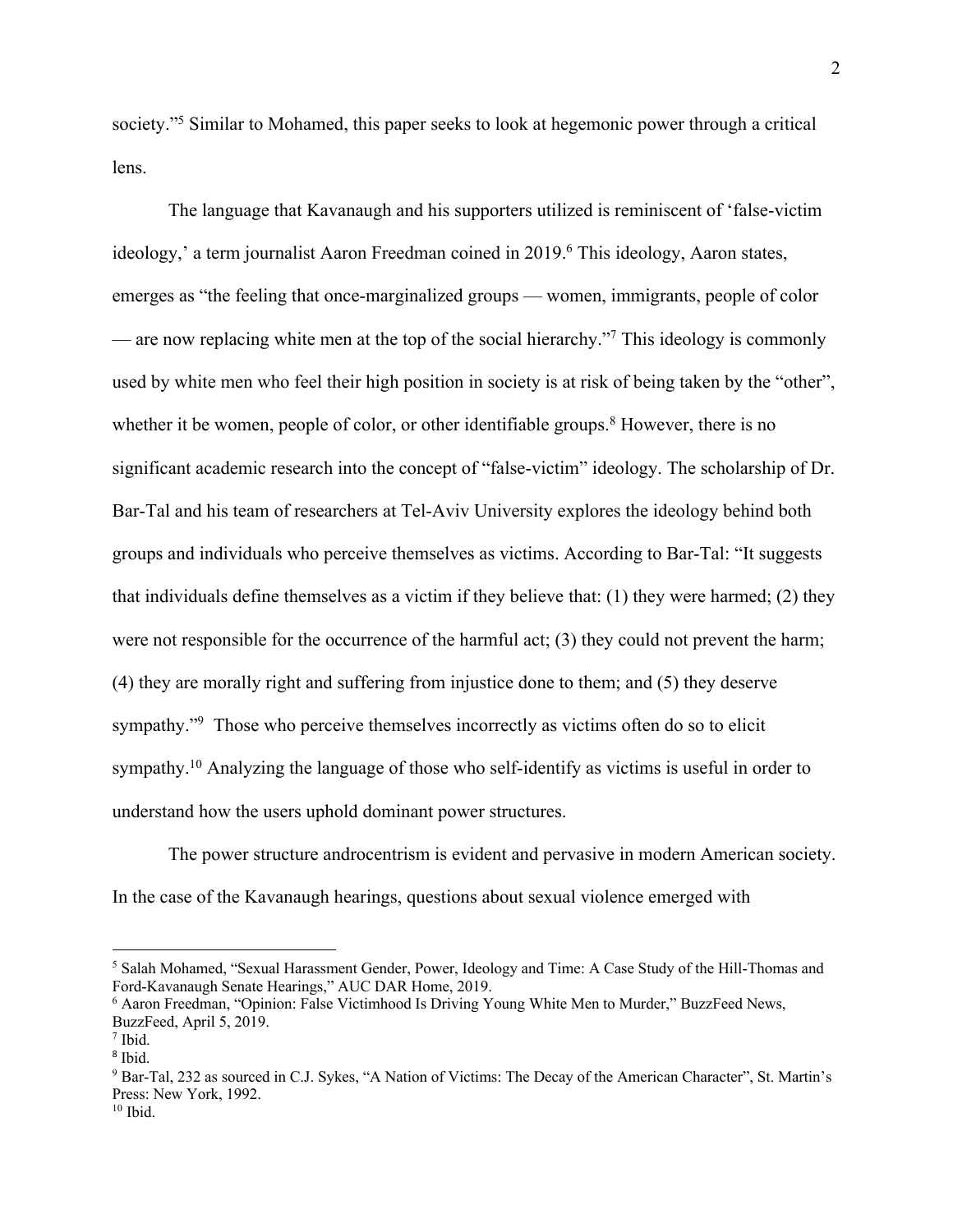society."<sup>5</sup> Similar to Mohamed, this paper seeks to look at hegemonic power through a critical lens.

The language that Kavanaugh and his supporters utilized is reminiscent of 'false-victim ideology,' a term journalist Aaron Freedman coined in 2019. <sup>6</sup> This ideology, Aaron states, emerges as "the feeling that once-marginalized groups — women, immigrants, people of color — are now replacing white men at the top of the social hierarchy.<sup>"7</sup> This ideology is commonly used by white men who feel their high position in society is at risk of being taken by the "other", whether it be women, people of color, or other identifiable groups.<sup>8</sup> However, there is no significant academic research into the concept of "false-victim" ideology. The scholarship of Dr. Bar-Tal and his team of researchers at Tel-Aviv University explores the ideology behind both groups and individuals who perceive themselves as victims. According to Bar-Tal: "It suggests that individuals define themselves as a victim if they believe that: (1) they were harmed; (2) they were not responsible for the occurrence of the harmful act; (3) they could not prevent the harm; (4) they are morally right and suffering from injustice done to them; and (5) they deserve sympathy."<sup>9</sup> Those who perceive themselves incorrectly as victims often do so to elicit sympathy.<sup>10</sup> Analyzing the language of those who self-identify as victims is useful in order to understand how the users uphold dominant power structures.

The power structure androcentrism is evident and pervasive in modern American society. In the case of the Kavanaugh hearings, questions about sexual violence emerged with

<sup>5</sup> Salah Mohamed, "Sexual Harassment Gender, Power, Ideology and Time: A Case Study of the Hill-Thomas and

 $6$  Aaron Freedman, "Opinion: False Victimhood Is Driving Young White Men to Murder," BuzzFeed News, BuzzFeed, April 5, 2019.

<sup>7</sup> Ibid.

<sup>8</sup> Ibid.

<sup>9</sup> Bar-Tal, 232 as sourced in C.J. Sykes, "A Nation of Victims: The Decay of the American Character", St. Martin's Press: New York, 1992.

 $10$  Ibid.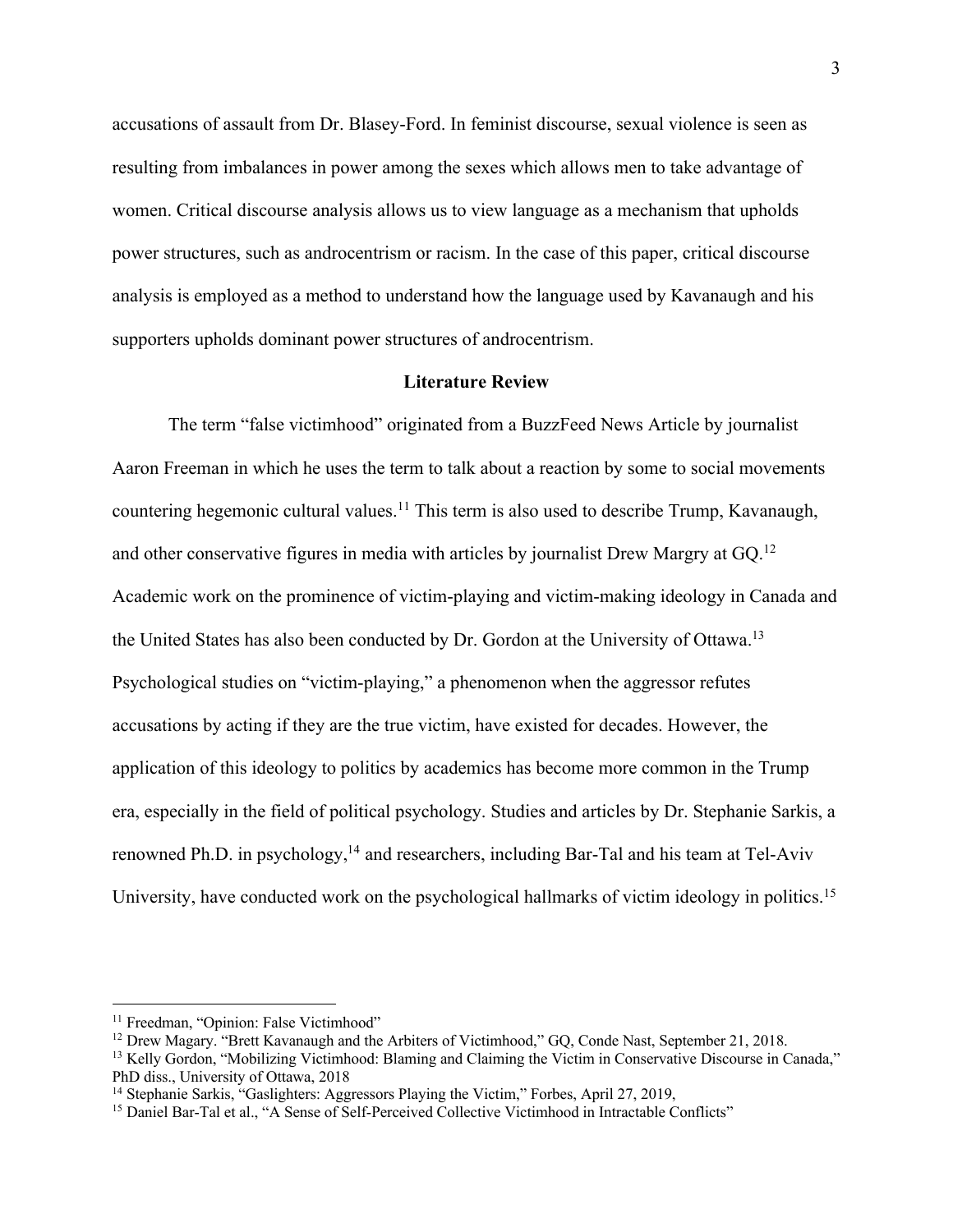accusations of assault from Dr. Blasey-Ford. In feminist discourse, sexual violence is seen as resulting from imbalances in power among the sexes which allows men to take advantage of women. Critical discourse analysis allows us to view language as a mechanism that upholds power structures, such as androcentrism or racism. In the case of this paper, critical discourse analysis is employed as a method to understand how the language used by Kavanaugh and his supporters upholds dominant power structures of androcentrism.

#### **Literature Review**

The term "false victimhood" originated from a BuzzFeed News Article by journalist Aaron Freeman in which he uses the term to talk about a reaction by some to social movements countering hegemonic cultural values.<sup>11</sup> This term is also used to describe Trump, Kavanaugh, and other conservative figures in media with articles by journalist Drew Margry at GQ.<sup>12</sup> Academic work on the prominence of victim-playing and victim-making ideology in Canada and the United States has also been conducted by Dr. Gordon at the University of Ottawa.<sup>13</sup> Psychological studies on "victim-playing," a phenomenon when the aggressor refutes accusations by acting if they are the true victim, have existed for decades. However, the application of this ideology to politics by academics has become more common in the Trump era, especially in the field of political psychology. Studies and articles by Dr. Stephanie Sarkis, a renowned Ph.D. in psychology,<sup>14</sup> and researchers, including Bar-Tal and his team at Tel-Aviv University, have conducted work on the psychological hallmarks of victim ideology in politics.<sup>15</sup>

<sup>&</sup>lt;sup>11</sup> Freedman, "Opinion: False Victimhood"

<sup>&</sup>lt;sup>12</sup> Drew Magary. "Brett Kavanaugh and the Arbiters of Victimhood," GQ, Conde Nast, September 21, 2018.

<sup>&</sup>lt;sup>13</sup> Kelly Gordon, "Mobilizing Victimhood: Blaming and Claiming the Victim in Conservative Discourse in Canada," PhD diss., University of Ottawa, 2018

<sup>&</sup>lt;sup>14</sup> Stephanie Sarkis, "Gaslighters: Aggressors Playing the Victim," Forbes, April 27, 2019,

<sup>&</sup>lt;sup>15</sup> Daniel Bar-Tal et al., "A Sense of Self-Perceived Collective Victimhood in Intractable Conflicts"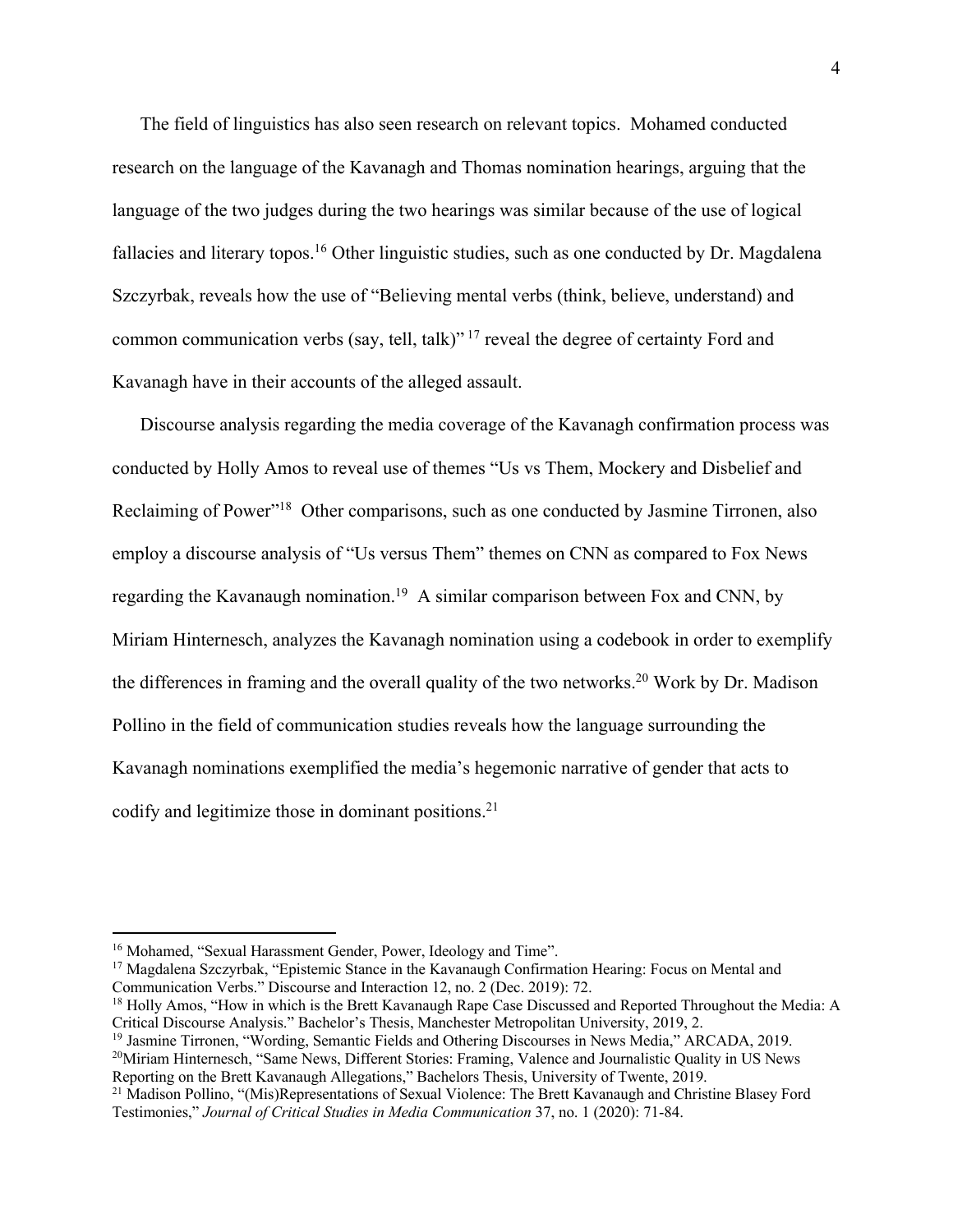The field of linguistics has also seen research on relevant topics. Mohamed conducted research on the language of the Kavanagh and Thomas nomination hearings, arguing that the language of the two judges during the two hearings was similar because of the use of logical fallacies and literary topos.<sup>16</sup> Other linguistic studies, such as one conducted by Dr. Magdalena Szczyrbak, reveals how the use of "Believing mental verbs (think, believe, understand) and common communication verbs (say, tell, talk)"<sup>17</sup> reveal the degree of certainty Ford and Kavanagh have in their accounts of the alleged assault.

Discourse analysis regarding the media coverage of the Kavanagh confirmation process was conducted by Holly Amos to reveal use of themes "Us vs Them, Mockery and Disbelief and Reclaiming of Power"<sup>18</sup> Other comparisons, such as one conducted by Jasmine Tirronen, also employ a discourse analysis of "Us versus Them" themes on CNN as compared to Fox News regarding the Kavanaugh nomination.<sup>19</sup> A similar comparison between Fox and CNN, by Miriam Hinternesch, analyzes the Kavanagh nomination using a codebook in order to exemplify the differences in framing and the overall quality of the two networks.<sup>20</sup> Work by Dr. Madison Pollino in the field of communication studies reveals how the language surrounding the Kavanagh nominations exemplified the media's hegemonic narrative of gender that acts to codify and legitimize those in dominant positions.<sup>21</sup>

<sup>&</sup>lt;sup>16</sup> Mohamed, "Sexual Harassment Gender, Power, Ideology and Time".

<sup>&</sup>lt;sup>17</sup> Magdalena Szczyrbak, "Epistemic Stance in the Kavanaugh Confirmation Hearing: Focus on Mental and Communication Verbs." Discourse and Interaction 12, no. 2 (Dec. 2019): 72.

<sup>&</sup>lt;sup>18</sup> Holly Amos, "How in which is the Brett Kavanaugh Rape Case Discussed and Reported Throughout the Media: A Critical Discourse Analysis." Bachelor's Thesis, Manchester Metropolitan University, 2019, 2.

<sup>&</sup>lt;sup>19</sup> Jasmine Tirronen, "Wording, Semantic Fields and Othering Discourses in News Media," ARCADA, 2019.

<sup>&</sup>lt;sup>20</sup>Miriam Hinternesch, "Same News, Different Stories: Framing, Valence and Journalistic Quality in US News Reporting on the Brett Kavanaugh Allegations," Bachelors Thesis, University of Twente, 2019.

<sup>&</sup>lt;sup>21</sup> Madison Pollino, "(Mis)Representations of Sexual Violence: The Brett Kavanaugh and Christine Blasey Ford Testimonies," *Journal of Critical Studies in Media Communication* 37, no. 1 (2020): 71-84.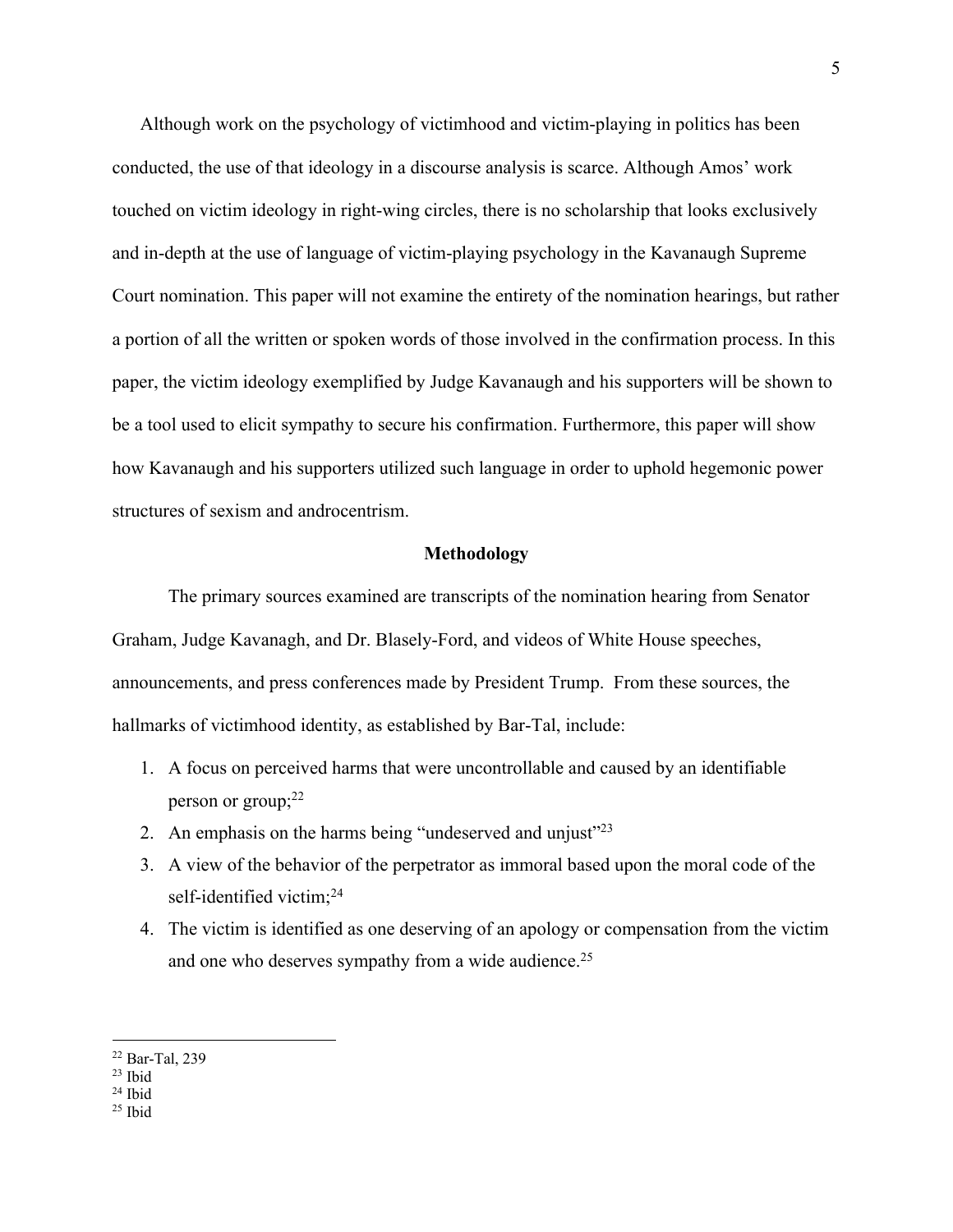Although work on the psychology of victimhood and victim-playing in politics has been conducted, the use of that ideology in a discourse analysis is scarce. Although Amos' work touched on victim ideology in right-wing circles, there is no scholarship that looks exclusively and in-depth at the use of language of victim-playing psychology in the Kavanaugh Supreme Court nomination. This paper will not examine the entirety of the nomination hearings, but rather a portion of all the written or spoken words of those involved in the confirmation process. In this paper, the victim ideology exemplified by Judge Kavanaugh and his supporters will be shown to be a tool used to elicit sympathy to secure his confirmation. Furthermore, this paper will show how Kavanaugh and his supporters utilized such language in order to uphold hegemonic power structures of sexism and androcentrism.

#### **Methodology**

The primary sources examined are transcripts of the nomination hearing from Senator Graham, Judge Kavanagh, and Dr. Blasely-Ford, and videos of White House speeches, announcements, and press conferences made by President Trump. From these sources, the hallmarks of victimhood identity, as established by Bar-Tal, include:

- 1. A focus on perceived harms that were uncontrollable and caused by an identifiable person or group; 22
- 2. An emphasis on the harms being "undeserved and unjust"<sup>23</sup>
- 3. A view of the behavior of the perpetrator as immoral based upon the moral code of the self-identified victim;<sup>24</sup>
- 4. The victim is identified as one deserving of an apology or compensation from the victim and one who deserves sympathy from a wide audience.<sup>25</sup>

<sup>22</sup> Bar-Tal, 239

<sup>23</sup> Ibid

<sup>24</sup> Ibid

 $25$  Ibid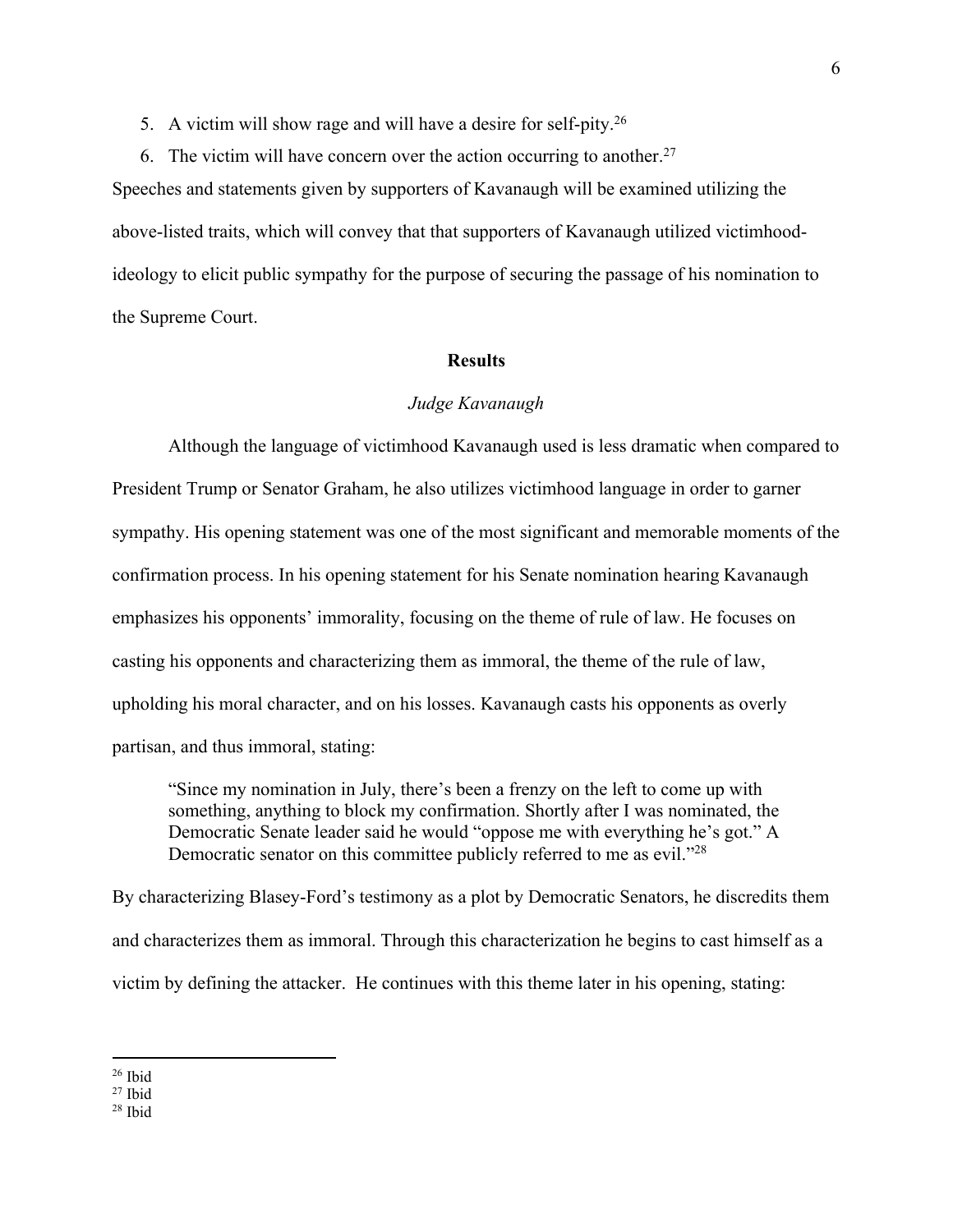5. A victim will show rage and will have a desire for self-pity.<sup>26</sup>

6. The victim will have concern over the action occurring to another.<sup>27</sup> Speeches and statements given by supporters of Kavanaugh will be examined utilizing the above-listed traits, which will convey that that supporters of Kavanaugh utilized victimhoodideology to elicit public sympathy for the purpose of securing the passage of his nomination to the Supreme Court.

# **Results**

# *Judge Kavanaugh*

Although the language of victimhood Kavanaugh used is less dramatic when compared to President Trump or Senator Graham, he also utilizes victimhood language in order to garner sympathy. His opening statement was one of the most significant and memorable moments of the confirmation process. In his opening statement for his Senate nomination hearing Kavanaugh emphasizes his opponents' immorality, focusing on the theme of rule of law. He focuses on casting his opponents and characterizing them as immoral, the theme of the rule of law, upholding his moral character, and on his losses. Kavanaugh casts his opponents as overly partisan, and thus immoral, stating:

"Since my nomination in July, there's been a frenzy on the left to come up with something, anything to block my confirmation. Shortly after I was nominated, the Democratic Senate leader said he would "oppose me with everything he's got." A Democratic senator on this committee publicly referred to me as evil."<sup>28</sup>

By characterizing Blasey-Ford's testimony as a plot by Democratic Senators, he discredits them and characterizes them as immoral. Through this characterization he begins to cast himself as a victim by defining the attacker. He continues with this theme later in his opening, stating:

<sup>26</sup> Ibid

 $27$  Ibid

<sup>28</sup> Ibid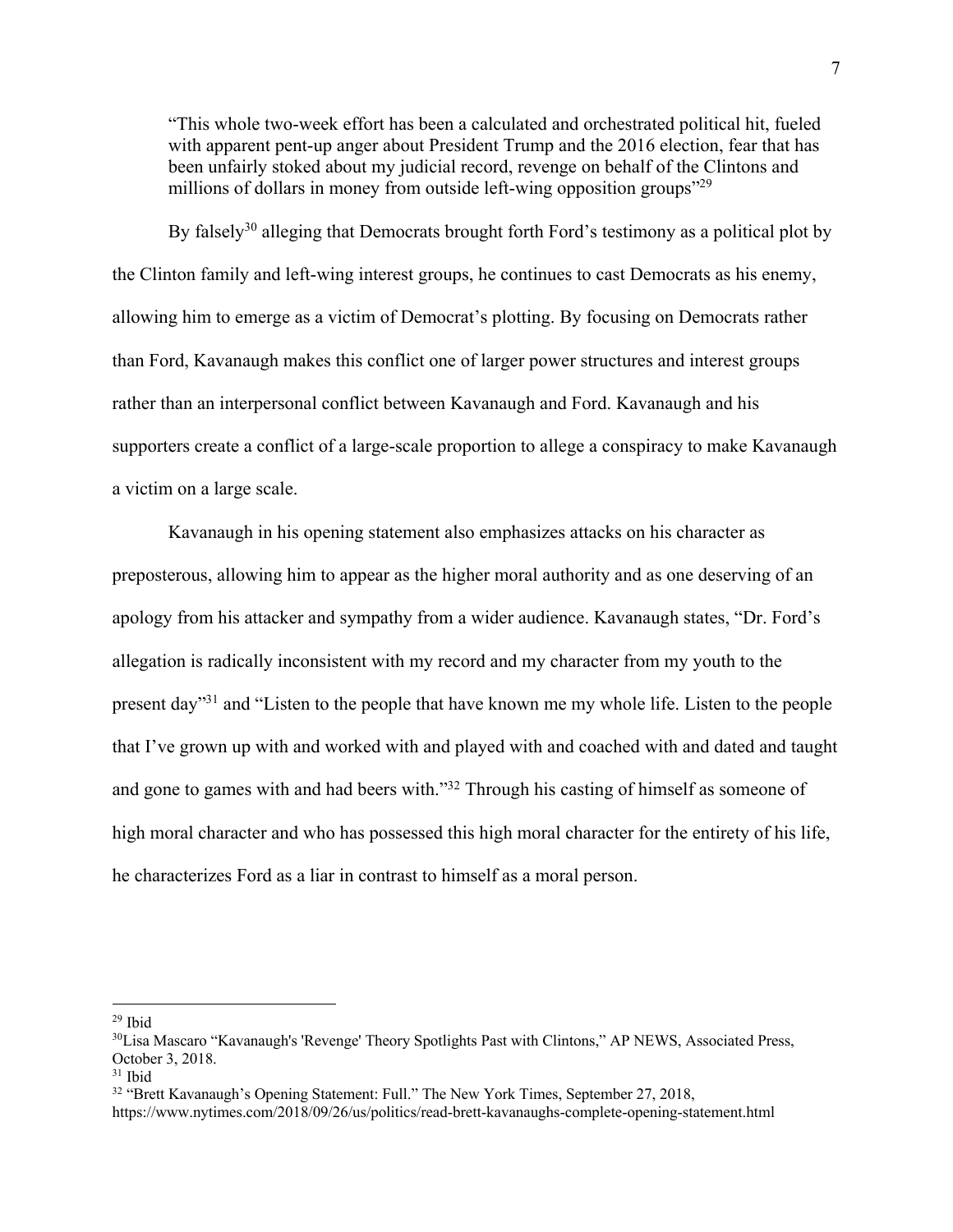"This whole two-week effort has been a calculated and orchestrated political hit, fueled with apparent pent-up anger about President Trump and the 2016 election, fear that has been unfairly stoked about my judicial record, revenge on behalf of the Clintons and millions of dollars in money from outside left-wing opposition groups"<sup>29</sup>

By falsely<sup>30</sup> alleging that Democrats brought forth Ford's testimony as a political plot by the Clinton family and left-wing interest groups, he continues to cast Democrats as his enemy, allowing him to emerge as a victim of Democrat's plotting. By focusing on Democrats rather than Ford, Kavanaugh makes this conflict one of larger power structures and interest groups rather than an interpersonal conflict between Kavanaugh and Ford. Kavanaugh and his supporters create a conflict of a large-scale proportion to allege a conspiracy to make Kavanaugh a victim on a large scale.

Kavanaugh in his opening statement also emphasizes attacks on his character as preposterous, allowing him to appear as the higher moral authority and as one deserving of an apology from his attacker and sympathy from a wider audience. Kavanaugh states, "Dr. Ford's allegation is radically inconsistent with my record and my character from my youth to the present day"31 and "Listen to the people that have known me my whole life. Listen to the people that I've grown up with and worked with and played with and coached with and dated and taught and gone to games with and had beers with."32 Through his casting of himself as someone of high moral character and who has possessed this high moral character for the entirety of his life, he characterizes Ford as a liar in contrast to himself as a moral person.

 $29$  Ibid

<sup>30</sup>Lisa Mascaro "Kavanaugh's 'Revenge' Theory Spotlights Past with Clintons," AP NEWS, Associated Press, October 3, 2018.

<sup>31</sup> Ibid

<sup>&</sup>lt;sup>32</sup> "Brett Kavanaugh's Opening Statement: Full." The New York Times, September 27, 2018,

https://www.nytimes.com/2018/09/26/us/politics/read-brett-kavanaughs-complete-opening-statement.html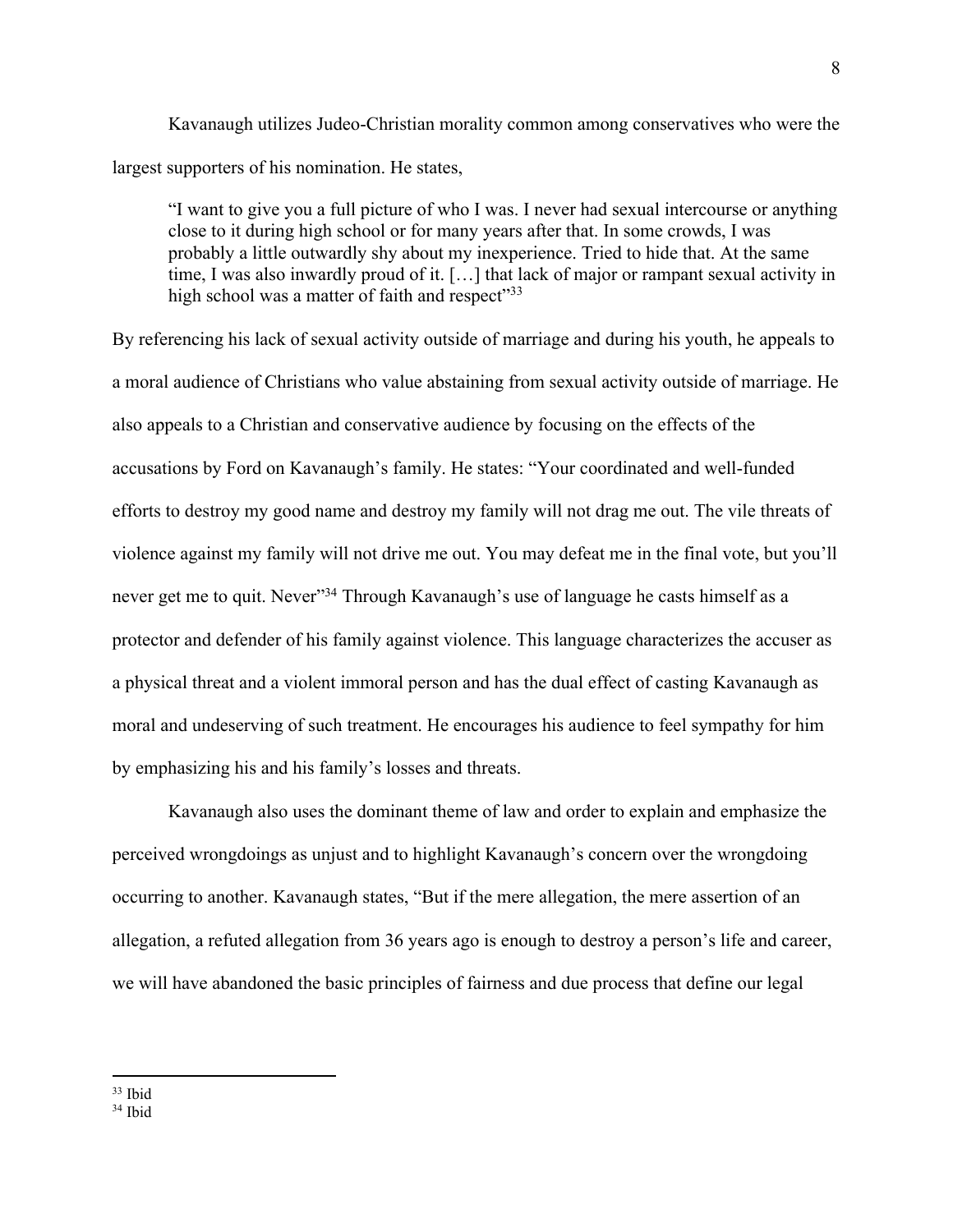Kavanaugh utilizes Judeo-Christian morality common among conservatives who were the largest supporters of his nomination. He states,

"I want to give you a full picture of who I was. I never had sexual intercourse or anything close to it during high school or for many years after that. In some crowds, I was probably a little outwardly shy about my inexperience. Tried to hide that. At the same time, I was also inwardly proud of it. […] that lack of major or rampant sexual activity in high school was a matter of faith and respect"33

By referencing his lack of sexual activity outside of marriage and during his youth, he appeals to a moral audience of Christians who value abstaining from sexual activity outside of marriage. He also appeals to a Christian and conservative audience by focusing on the effects of the accusations by Ford on Kavanaugh's family. He states: "Your coordinated and well-funded efforts to destroy my good name and destroy my family will not drag me out. The vile threats of violence against my family will not drive me out. You may defeat me in the final vote, but you'll never get me to quit. Never<sup>334</sup> Through Kavanaugh's use of language he casts himself as a protector and defender of his family against violence. This language characterizes the accuser as a physical threat and a violent immoral person and has the dual effect of casting Kavanaugh as moral and undeserving of such treatment. He encourages his audience to feel sympathy for him by emphasizing his and his family's losses and threats.

Kavanaugh also uses the dominant theme of law and order to explain and emphasize the perceived wrongdoings as unjust and to highlight Kavanaugh's concern over the wrongdoing occurring to another. Kavanaugh states, "But if the mere allegation, the mere assertion of an allegation, a refuted allegation from 36 years ago is enough to destroy a person's life and career, we will have abandoned the basic principles of fairness and due process that define our legal

<sup>33</sup> Ibid

<sup>34</sup> Ibid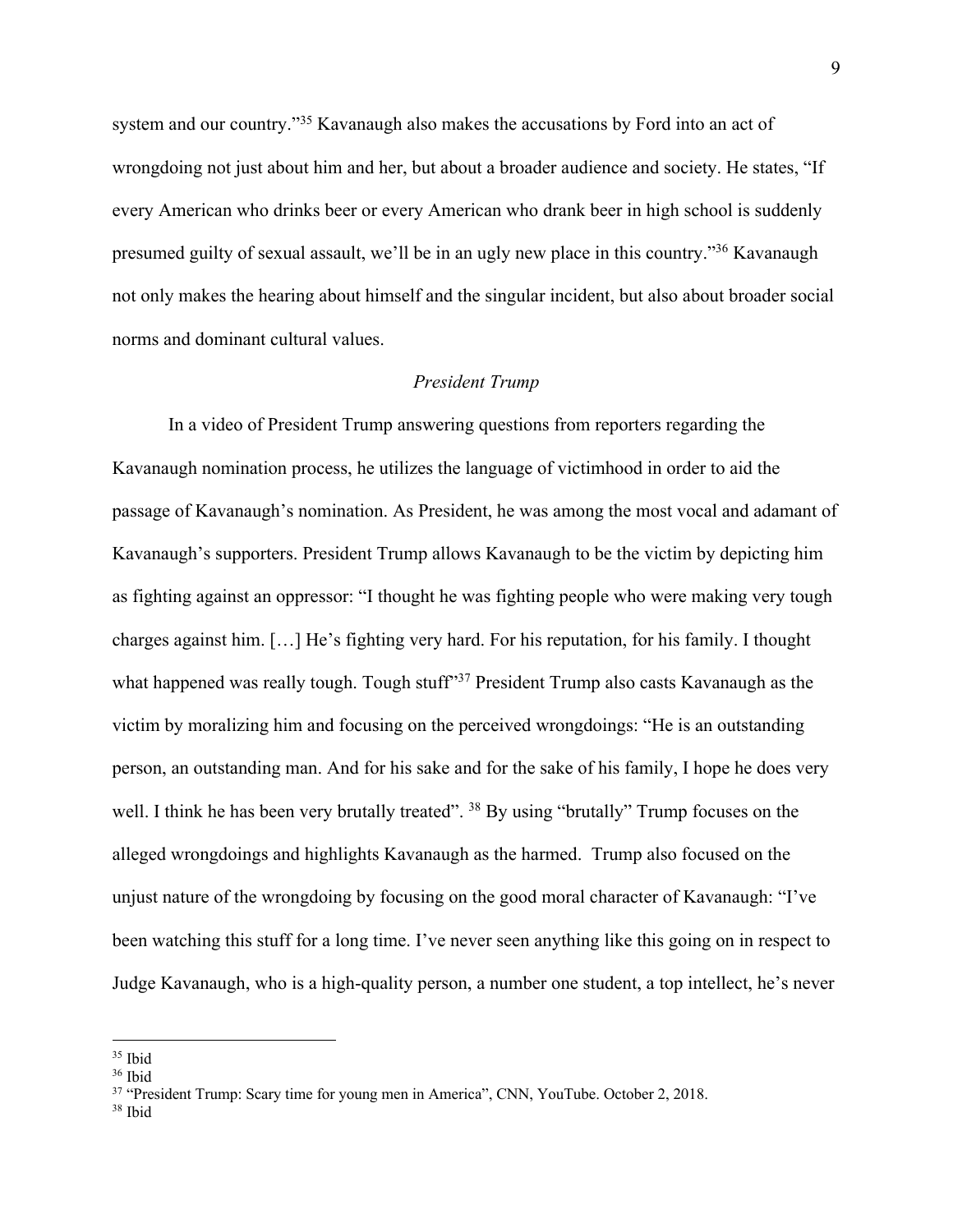system and our country."<sup>35</sup> Kavanaugh also makes the accusations by Ford into an act of wrongdoing not just about him and her, but about a broader audience and society. He states, "If every American who drinks beer or every American who drank beer in high school is suddenly presumed guilty of sexual assault, we'll be in an ugly new place in this country."36 Kavanaugh not only makes the hearing about himself and the singular incident, but also about broader social norms and dominant cultural values.

## *President Trump*

In a video of President Trump answering questions from reporters regarding the Kavanaugh nomination process, he utilizes the language of victimhood in order to aid the passage of Kavanaugh's nomination. As President, he was among the most vocal and adamant of Kavanaugh's supporters. President Trump allows Kavanaugh to be the victim by depicting him as fighting against an oppressor: "I thought he was fighting people who were making very tough charges against him. […] He's fighting very hard. For his reputation, for his family. I thought what happened was really tough. Tough stuff<sup>37</sup> President Trump also casts Kavanaugh as the victim by moralizing him and focusing on the perceived wrongdoings: "He is an outstanding person, an outstanding man. And for his sake and for the sake of his family, I hope he does very well. I think he has been very brutally treated". <sup>38</sup> By using "brutally" Trump focuses on the alleged wrongdoings and highlights Kavanaugh as the harmed. Trump also focused on the unjust nature of the wrongdoing by focusing on the good moral character of Kavanaugh: "I've been watching this stuff for a long time. I've never seen anything like this going on in respect to Judge Kavanaugh, who is a high-quality person, a number one student, a top intellect, he's never

<sup>35</sup> Ibid

<sup>36</sup> Ibid

<sup>&</sup>lt;sup>37</sup> "President Trump: Scary time for young men in America", CNN, YouTube. October 2, 2018.

<sup>38</sup> Ibid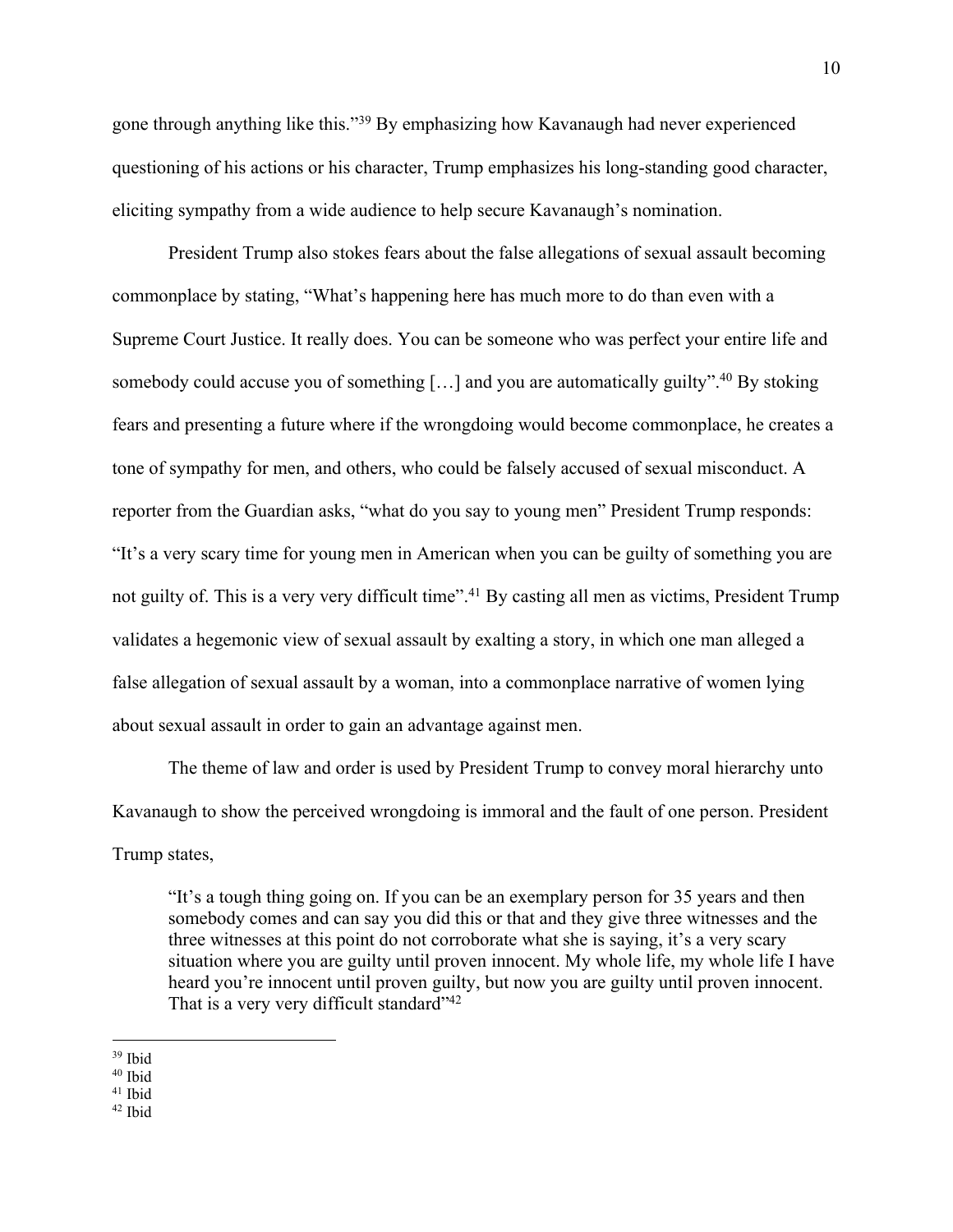gone through anything like this."39 By emphasizing how Kavanaugh had never experienced questioning of his actions or his character, Trump emphasizes his long-standing good character, eliciting sympathy from a wide audience to help secure Kavanaugh's nomination.

President Trump also stokes fears about the false allegations of sexual assault becoming commonplace by stating, "What's happening here has much more to do than even with a Supreme Court Justice. It really does. You can be someone who was perfect your entire life and somebody could accuse you of something  $[\dots]$  and you are automatically guilty".<sup>40</sup> By stoking fears and presenting a future where if the wrongdoing would become commonplace, he creates a tone of sympathy for men, and others, who could be falsely accused of sexual misconduct. A reporter from the Guardian asks, "what do you say to young men" President Trump responds: "It's a very scary time for young men in American when you can be guilty of something you are not guilty of. This is a very very difficult time".<sup>41</sup> By casting all men as victims, President Trump validates a hegemonic view of sexual assault by exalting a story, in which one man alleged a false allegation of sexual assault by a woman, into a commonplace narrative of women lying about sexual assault in order to gain an advantage against men.

The theme of law and order is used by President Trump to convey moral hierarchy unto Kavanaugh to show the perceived wrongdoing is immoral and the fault of one person. President Trump states,

"It's a tough thing going on. If you can be an exemplary person for 35 years and then somebody comes and can say you did this or that and they give three witnesses and the three witnesses at this point do not corroborate what she is saying, it's a very scary situation where you are guilty until proven innocent. My whole life, my whole life I have heard you're innocent until proven guilty, but now you are guilty until proven innocent. That is a very very difficult standard"<sup>42</sup>

<sup>39</sup> Ibid

<sup>40</sup> Ibid

<sup>41</sup> Ibid

<sup>42</sup> Ibid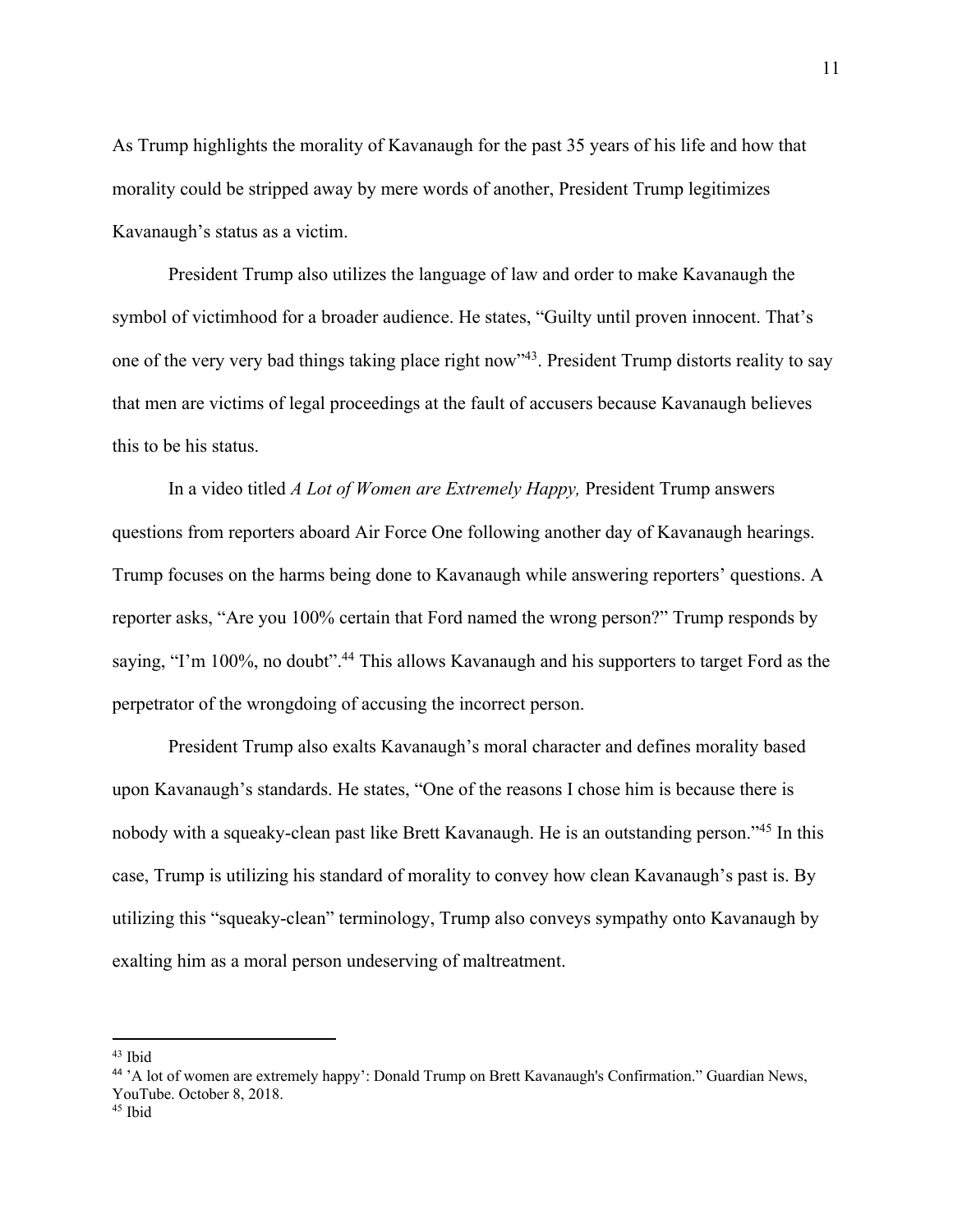As Trump highlights the morality of Kavanaugh for the past 35 years of his life and how that morality could be stripped away by mere words of another, President Trump legitimizes Kavanaugh's status as a victim.

President Trump also utilizes the language of law and order to make Kavanaugh the symbol of victimhood for a broader audience. He states, "Guilty until proven innocent. That's one of the very very bad things taking place right now"43. President Trump distorts reality to say that men are victims of legal proceedings at the fault of accusers because Kavanaugh believes this to be his status.

In a video titled *A Lot of Women are Extremely Happy,* President Trump answers questions from reporters aboard Air Force One following another day of Kavanaugh hearings. Trump focuses on the harms being done to Kavanaugh while answering reporters' questions. A reporter asks, "Are you 100% certain that Ford named the wrong person?" Trump responds by saying, "I'm 100%, no doubt".<sup>44</sup> This allows Kavanaugh and his supporters to target Ford as the perpetrator of the wrongdoing of accusing the incorrect person.

President Trump also exalts Kavanaugh's moral character and defines morality based upon Kavanaugh's standards. He states, "One of the reasons I chose him is because there is nobody with a squeaky-clean past like Brett Kavanaugh. He is an outstanding person."45 In this case, Trump is utilizing his standard of morality to convey how clean Kavanaugh's past is. By utilizing this "squeaky-clean" terminology, Trump also conveys sympathy onto Kavanaugh by exalting him as a moral person undeserving of maltreatment.

 $43$  Ibid

<sup>44</sup> 'A lot of women are extremely happy': Donald Trump on Brett Kavanaugh's Confirmation." Guardian News, YouTube. October 8, 2018.

<sup>45</sup> Ibid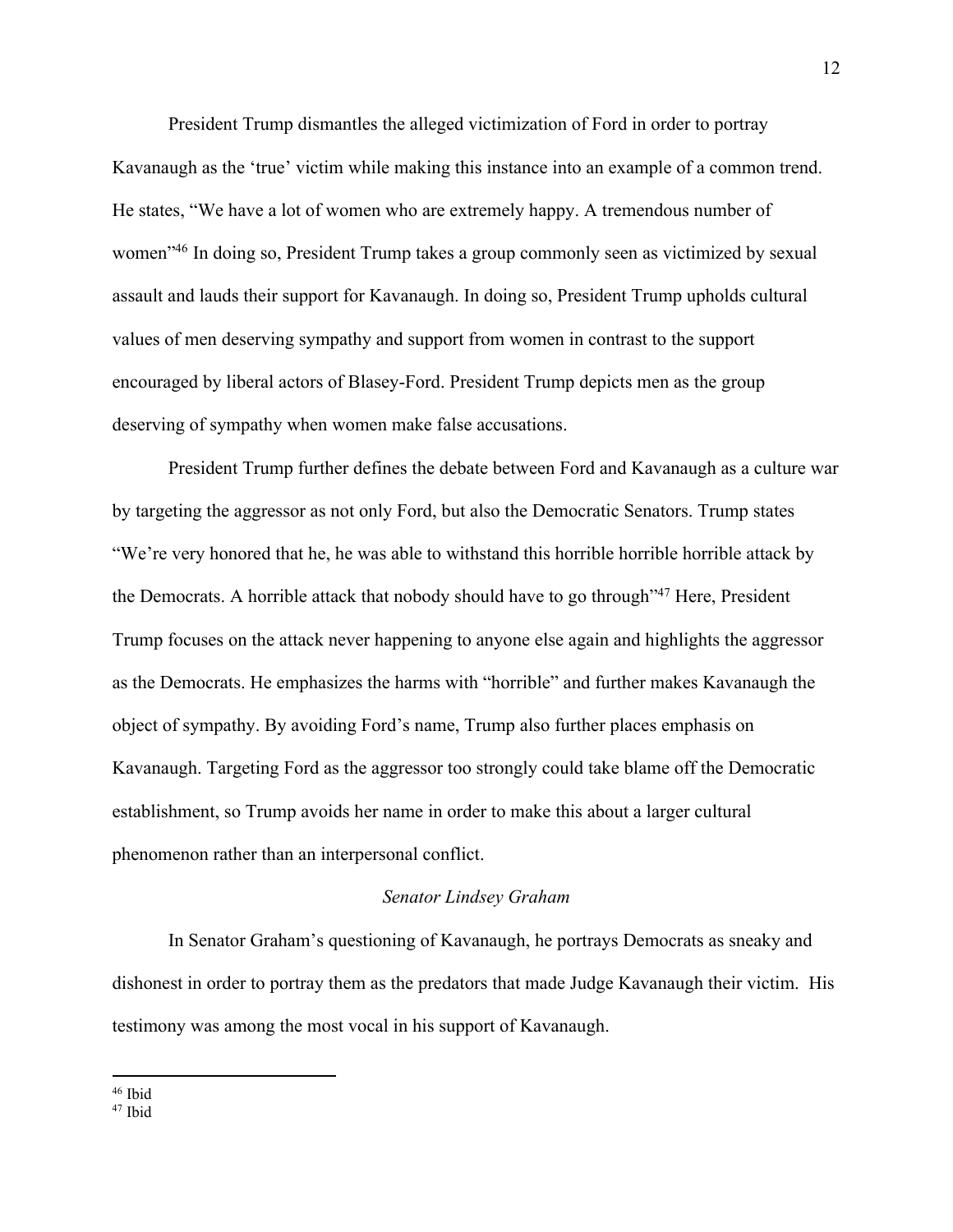President Trump dismantles the alleged victimization of Ford in order to portray Kavanaugh as the 'true' victim while making this instance into an example of a common trend. He states, "We have a lot of women who are extremely happy. A tremendous number of women"46 In doing so, President Trump takes a group commonly seen as victimized by sexual assault and lauds their support for Kavanaugh. In doing so, President Trump upholds cultural values of men deserving sympathy and support from women in contrast to the support encouraged by liberal actors of Blasey-Ford. President Trump depicts men as the group deserving of sympathy when women make false accusations.

President Trump further defines the debate between Ford and Kavanaugh as a culture war by targeting the aggressor as not only Ford, but also the Democratic Senators. Trump states "We're very honored that he, he was able to withstand this horrible horrible horrible attack by the Democrats. A horrible attack that nobody should have to go through"47 Here, President Trump focuses on the attack never happening to anyone else again and highlights the aggressor as the Democrats. He emphasizes the harms with "horrible" and further makes Kavanaugh the object of sympathy. By avoiding Ford's name, Trump also further places emphasis on Kavanaugh. Targeting Ford as the aggressor too strongly could take blame off the Democratic establishment, so Trump avoids her name in order to make this about a larger cultural phenomenon rather than an interpersonal conflict.

## *Senator Lindsey Graham*

In Senator Graham's questioning of Kavanaugh, he portrays Democrats as sneaky and dishonest in order to portray them as the predators that made Judge Kavanaugh their victim. His testimony was among the most vocal in his support of Kavanaugh.

<sup>46</sup> Ibid

<sup>47</sup> Ibid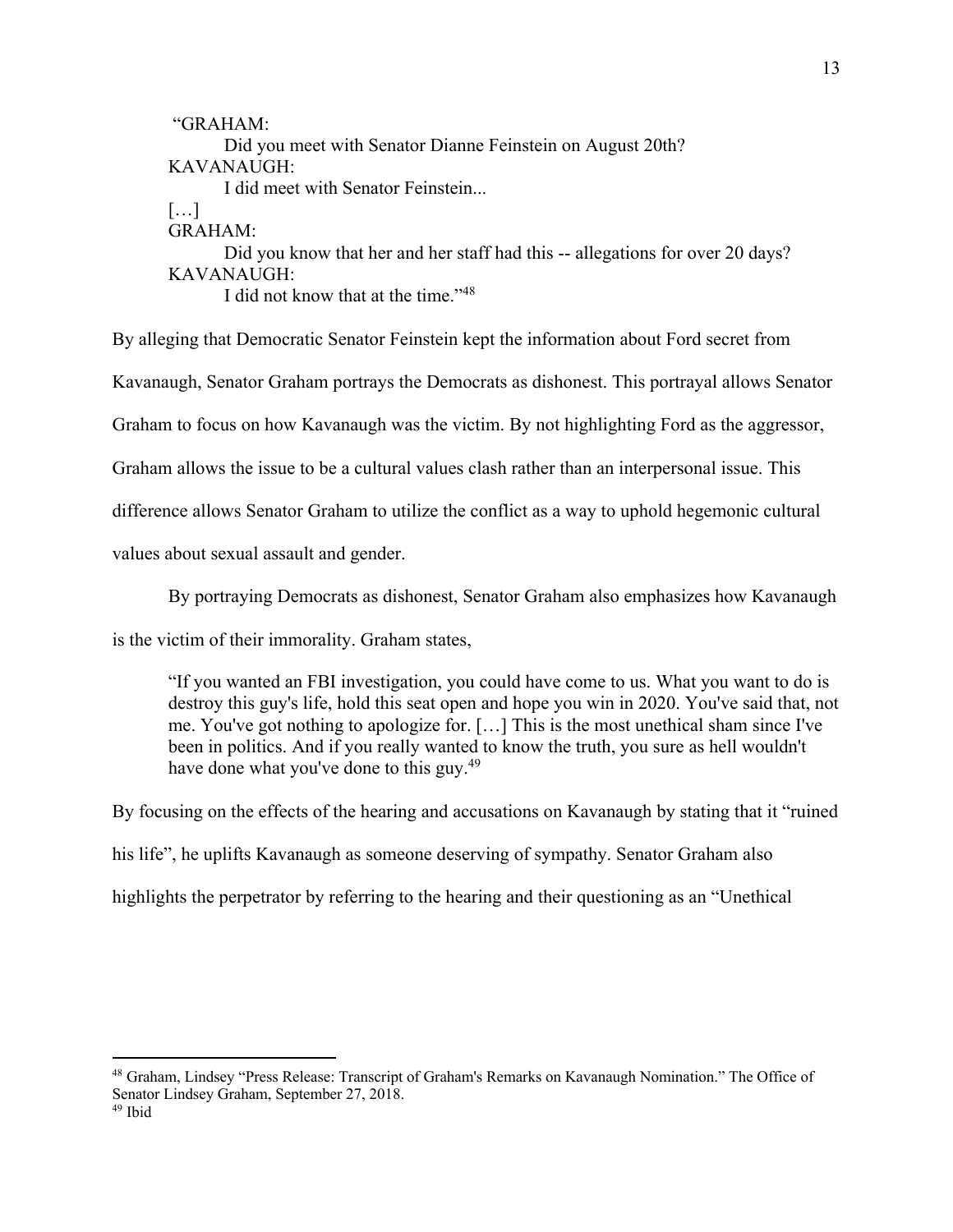"GRAHAM: Did you meet with Senator Dianne Feinstein on August 20th? KAVANAUGH: I did meet with Senator Feinstein... […] GRAHAM: Did you know that her and her staff had this -- allegations for over 20 days? KAVANAUGH: I did not know that at the time."48

By alleging that Democratic Senator Feinstein kept the information about Ford secret from Kavanaugh, Senator Graham portrays the Democrats as dishonest. This portrayal allows Senator Graham to focus on how Kavanaugh was the victim. By not highlighting Ford as the aggressor, Graham allows the issue to be a cultural values clash rather than an interpersonal issue. This difference allows Senator Graham to utilize the conflict as a way to uphold hegemonic cultural values about sexual assault and gender.

By portraying Democrats as dishonest, Senator Graham also emphasizes how Kavanaugh

is the victim of their immorality. Graham states,

"If you wanted an FBI investigation, you could have come to us. What you want to do is destroy this guy's life, hold this seat open and hope you win in 2020. You've said that, not me. You've got nothing to apologize for. […] This is the most unethical sham since I've been in politics. And if you really wanted to know the truth, you sure as hell wouldn't have done what you've done to this guy.<sup>49</sup>

By focusing on the effects of the hearing and accusations on Kavanaugh by stating that it "ruined his life", he uplifts Kavanaugh as someone deserving of sympathy. Senator Graham also highlights the perpetrator by referring to the hearing and their questioning as an "Unethical

<sup>48</sup> Graham, Lindsey "Press Release: Transcript of Graham's Remarks on Kavanaugh Nomination." The Office of Senator Lindsey Graham, September 27, 2018.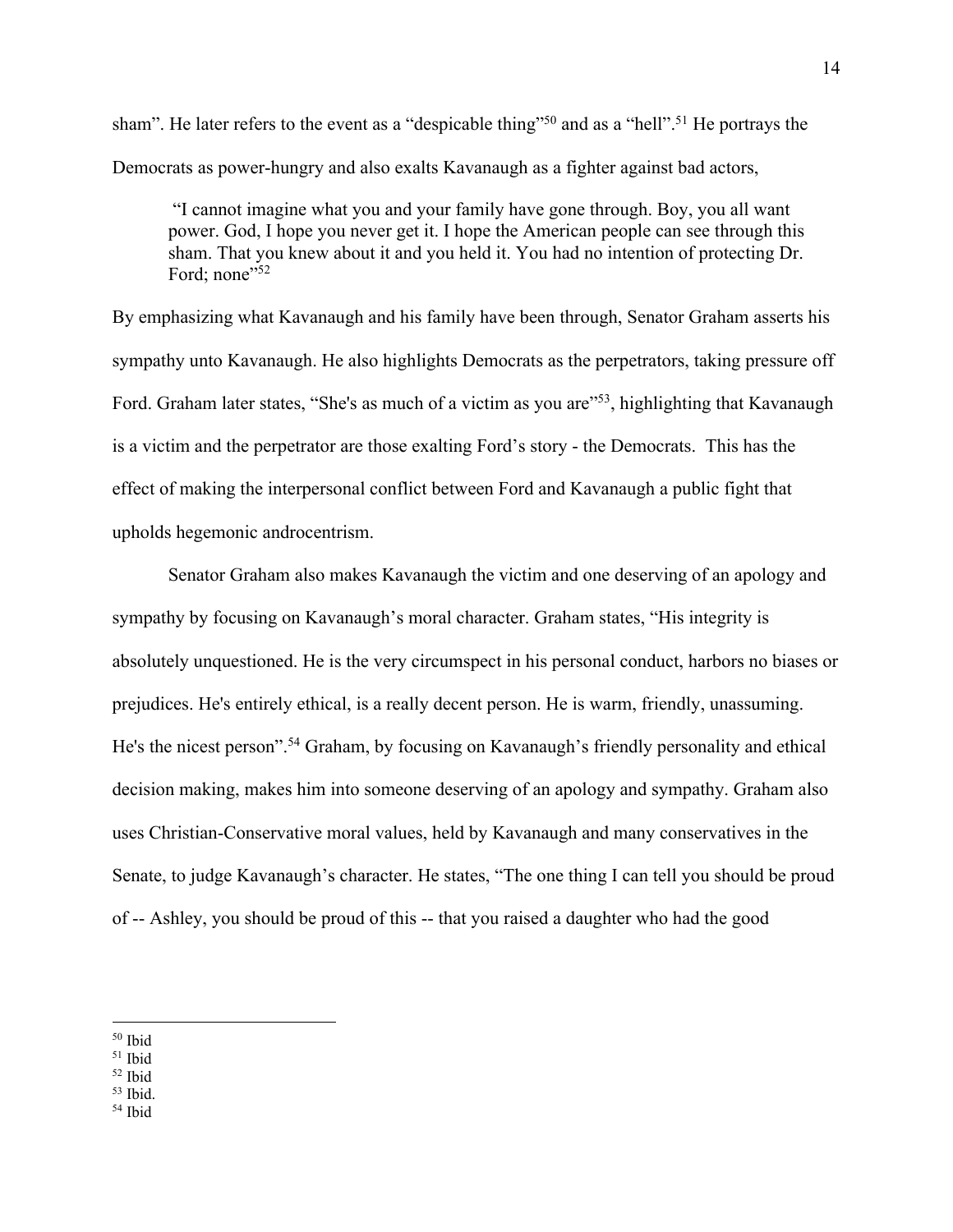sham". He later refers to the event as a "despicable thing"<sup>50</sup> and as a "hell".<sup>51</sup> He portrays the Democrats as power-hungry and also exalts Kavanaugh as a fighter against bad actors,

"I cannot imagine what you and your family have gone through. Boy, you all want power. God, I hope you never get it. I hope the American people can see through this sham. That you knew about it and you held it. You had no intention of protecting Dr. Ford; none $"52$ 

By emphasizing what Kavanaugh and his family have been through, Senator Graham asserts his sympathy unto Kavanaugh. He also highlights Democrats as the perpetrators, taking pressure off Ford. Graham later states, "She's as much of a victim as you are"<sup>53</sup>, highlighting that Kavanaugh is a victim and the perpetrator are those exalting Ford's story - the Democrats. This has the effect of making the interpersonal conflict between Ford and Kavanaugh a public fight that upholds hegemonic androcentrism.

Senator Graham also makes Kavanaugh the victim and one deserving of an apology and sympathy by focusing on Kavanaugh's moral character. Graham states, "His integrity is absolutely unquestioned. He is the very circumspect in his personal conduct, harbors no biases or prejudices. He's entirely ethical, is a really decent person. He is warm, friendly, unassuming. He's the nicest person". <sup>54</sup> Graham, by focusing on Kavanaugh's friendly personality and ethical decision making, makes him into someone deserving of an apology and sympathy. Graham also uses Christian-Conservative moral values, held by Kavanaugh and many conservatives in the Senate, to judge Kavanaugh's character. He states, "The one thing I can tell you should be proud of -- Ashley, you should be proud of this -- that you raised a daughter who had the good

 $50$  Ibid

<sup>51</sup> Ibid

<sup>52</sup> Ibid

 $53$  Ibid.<br> $54$  Ibid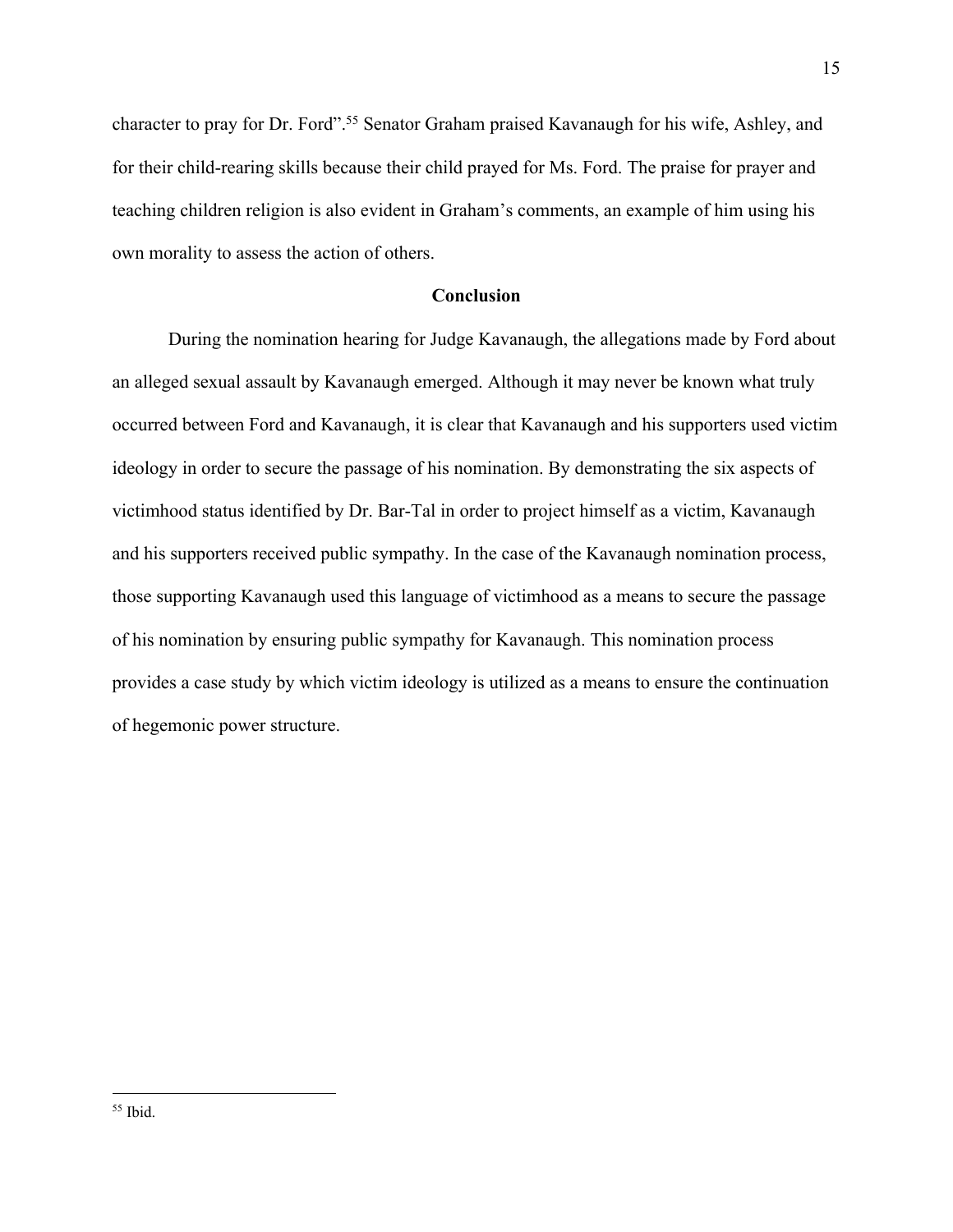character to pray for Dr. Ford".<sup>55</sup> Senator Graham praised Kavanaugh for his wife, Ashley, and for their child-rearing skills because their child prayed for Ms. Ford. The praise for prayer and teaching children religion is also evident in Graham's comments, an example of him using his own morality to assess the action of others.

# **Conclusion**

During the nomination hearing for Judge Kavanaugh, the allegations made by Ford about an alleged sexual assault by Kavanaugh emerged. Although it may never be known what truly occurred between Ford and Kavanaugh, it is clear that Kavanaugh and his supporters used victim ideology in order to secure the passage of his nomination. By demonstrating the six aspects of victimhood status identified by Dr. Bar-Tal in order to project himself as a victim, Kavanaugh and his supporters received public sympathy. In the case of the Kavanaugh nomination process, those supporting Kavanaugh used this language of victimhood as a means to secure the passage of his nomination by ensuring public sympathy for Kavanaugh. This nomination process provides a case study by which victim ideology is utilized as a means to ensure the continuation of hegemonic power structure.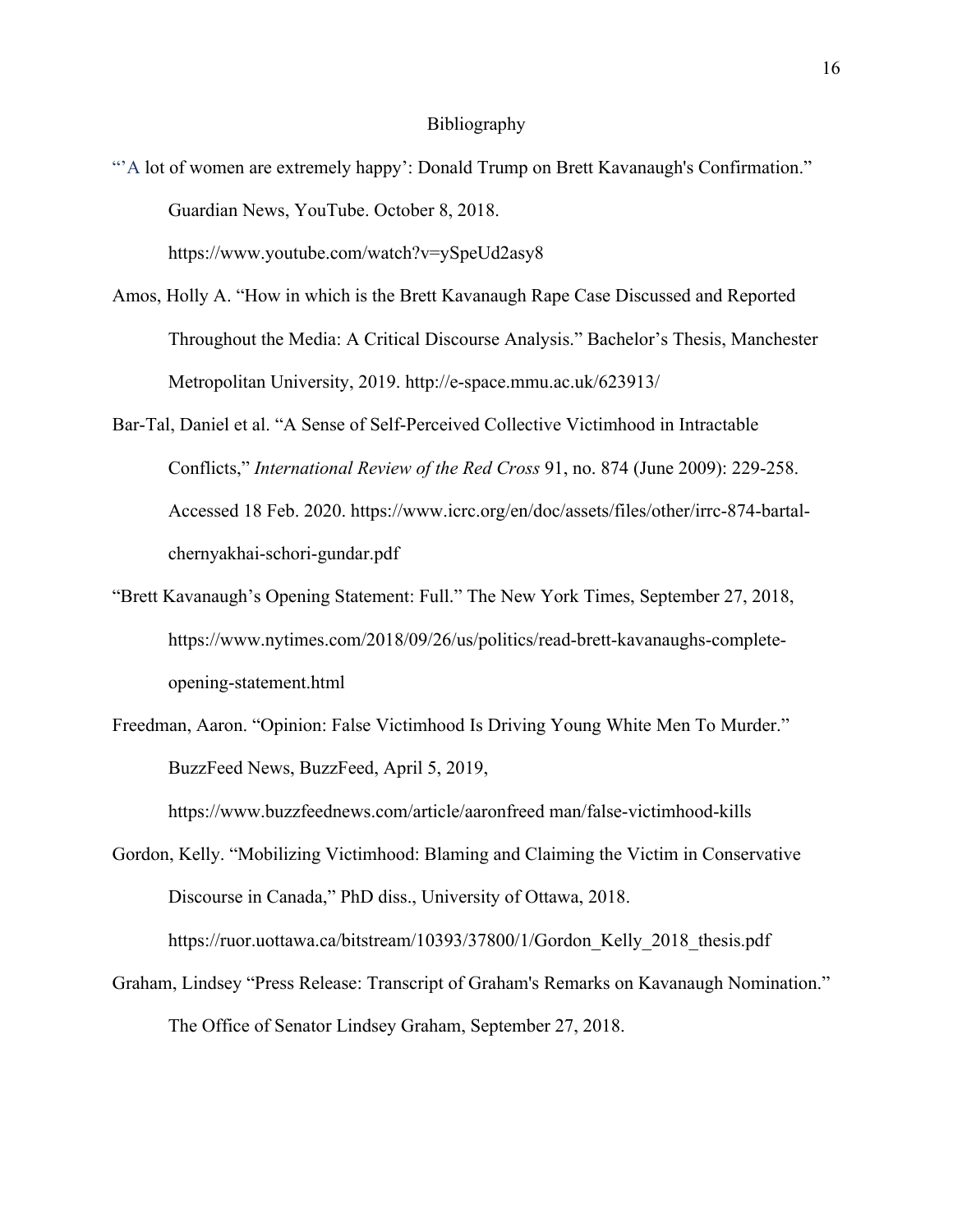#### Bibliography

- "A lot of women are extremely happy': Donald Trump on Brett Kavanaugh's Confirmation." Guardian News, YouTube. October 8, 2018. https://www.youtube.com/watch?v=ySpeUd2asy8
- Amos, Holly A. "How in which is the Brett Kavanaugh Rape Case Discussed and Reported Throughout the Media: A Critical Discourse Analysis." Bachelor's Thesis, Manchester Metropolitan University, 2019. http://e-space.mmu.ac.uk/623913/
- Bar-Tal, Daniel et al. "A Sense of Self-Perceived Collective Victimhood in Intractable Conflicts," *International Review of the Red Cross* 91, no. 874 (June 2009): 229-258. Accessed 18 Feb. 2020. https://www.icrc.org/en/doc/assets/files/other/irrc-874-bartalchernyakhai-schori-gundar.pdf
- "Brett Kavanaugh's Opening Statement: Full." The New York Times, September 27, 2018, https://www.nytimes.com/2018/09/26/us/politics/read-brett-kavanaughs-completeopening-statement.html
- Freedman, Aaron. "Opinion: False Victimhood Is Driving Young White Men To Murder." BuzzFeed News, BuzzFeed, April 5, 2019,

https://www.buzzfeednews.com/article/aaronfreed man/false-victimhood-kills

Gordon, Kelly. "Mobilizing Victimhood: Blaming and Claiming the Victim in Conservative Discourse in Canada," PhD diss., University of Ottawa, 2018.

https://ruor.uottawa.ca/bitstream/10393/37800/1/Gordon Kelly 2018 thesis.pdf

Graham, Lindsey "Press Release: Transcript of Graham's Remarks on Kavanaugh Nomination." The Office of Senator Lindsey Graham, September 27, 2018.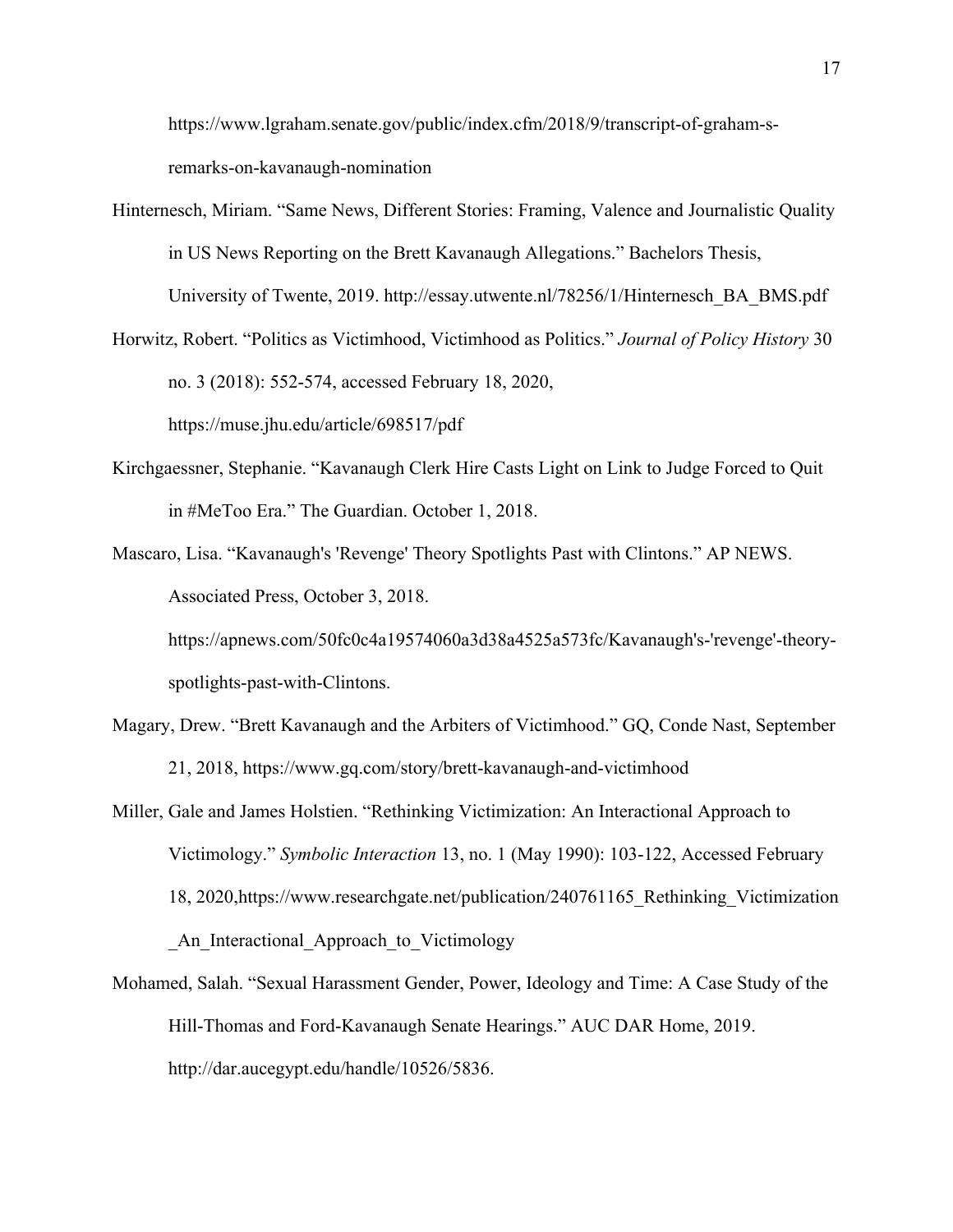https://www.lgraham.senate.gov/public/index.cfm/2018/9/transcript-of-graham-sremarks-on-kavanaugh-nomination

- Hinternesch, Miriam. "Same News, Different Stories: Framing, Valence and Journalistic Quality in US News Reporting on the Brett Kavanaugh Allegations." Bachelors Thesis, University of Twente, 2019. http://essay.utwente.nl/78256/1/Hinternesch\_BA\_BMS.pdf
- Horwitz, Robert. "Politics as Victimhood, Victimhood as Politics." *Journal of Policy History* 30 no. 3 (2018): 552-574, accessed February 18, 2020, https://muse.jhu.edu/article/698517/pdf
- Kirchgaessner, Stephanie. "Kavanaugh Clerk Hire Casts Light on Link to Judge Forced to Quit in #MeToo Era." The Guardian. October 1, 2018.
- Mascaro, Lisa. "Kavanaugh's 'Revenge' Theory Spotlights Past with Clintons." AP NEWS. Associated Press, October 3, 2018. https://apnews.com/50fc0c4a19574060a3d38a4525a573fc/Kavanaugh's-'revenge'-theory-

spotlights-past-with-Clintons.

- Magary, Drew. "Brett Kavanaugh and the Arbiters of Victimhood." GQ, Conde Nast, September 21, 2018, https://www.gq.com/story/brett-kavanaugh-and-victimhood
- Miller, Gale and James Holstien. "Rethinking Victimization: An Interactional Approach to Victimology." *Symbolic Interaction* 13, no. 1 (May 1990): 103-122, Accessed February 18, 2020,https://www.researchgate.net/publication/240761165\_Rethinking\_Victimization An Interactional Approach to Victimology
- Mohamed, Salah. "Sexual Harassment Gender, Power, Ideology and Time: A Case Study of the Hill-Thomas and Ford-Kavanaugh Senate Hearings." AUC DAR Home, 2019. http://dar.aucegypt.edu/handle/10526/5836.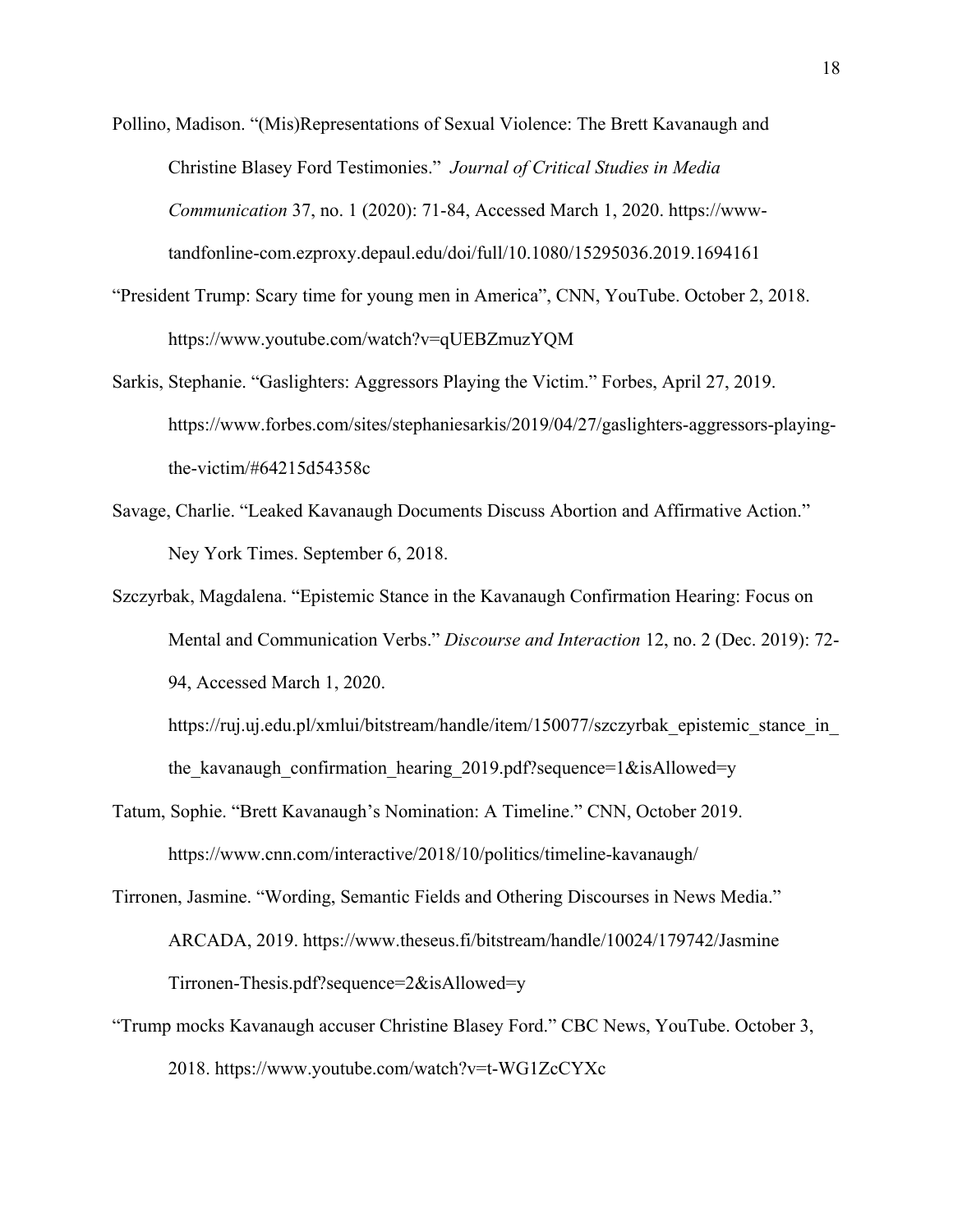Pollino, Madison. "(Mis)Representations of Sexual Violence: The Brett Kavanaugh and Christine Blasey Ford Testimonies." *Journal of Critical Studies in Media Communication* 37, no. 1 (2020): 71-84, Accessed March 1, 2020. https://wwwtandfonline-com.ezproxy.depaul.edu/doi/full/10.1080/15295036.2019.1694161

- "President Trump: Scary time for young men in America", CNN, YouTube. October 2, 2018. https://www.youtube.com/watch?v=qUEBZmuzYQM
- Sarkis, Stephanie. "Gaslighters: Aggressors Playing the Victim." Forbes, April 27, 2019. https://www.forbes.com/sites/stephaniesarkis/2019/04/27/gaslighters-aggressors-playingthe-victim/#64215d54358c
- Savage, Charlie. "Leaked Kavanaugh Documents Discuss Abortion and Affirmative Action." Ney York Times. September 6, 2018.
- Szczyrbak, Magdalena. "Epistemic Stance in the Kavanaugh Confirmation Hearing: Focus on Mental and Communication Verbs." *Discourse and Interaction* 12, no. 2 (Dec. 2019): 72- 94, Accessed March 1, 2020.

https://ruj.uj.edu.pl/xmlui/bitstream/handle/item/150077/szczyrbak epistemic stance in the\_kavanaugh\_confirmation\_hearing\_2019.pdf?sequence=1&isAllowed=y

Tatum, Sophie. "Brett Kavanaugh's Nomination: A Timeline." CNN, October 2019. https://www.cnn.com/interactive/2018/10/politics/timeline-kavanaugh/

Tirronen, Jasmine. "Wording, Semantic Fields and Othering Discourses in News Media." ARCADA, 2019. https://www.theseus.fi/bitstream/handle/10024/179742/Jasmine Tirronen-Thesis.pdf?sequence=2&isAllowed=y

"Trump mocks Kavanaugh accuser Christine Blasey Ford." CBC News, YouTube. October 3, 2018. https://www.youtube.com/watch?v=t-WG1ZcCYXc